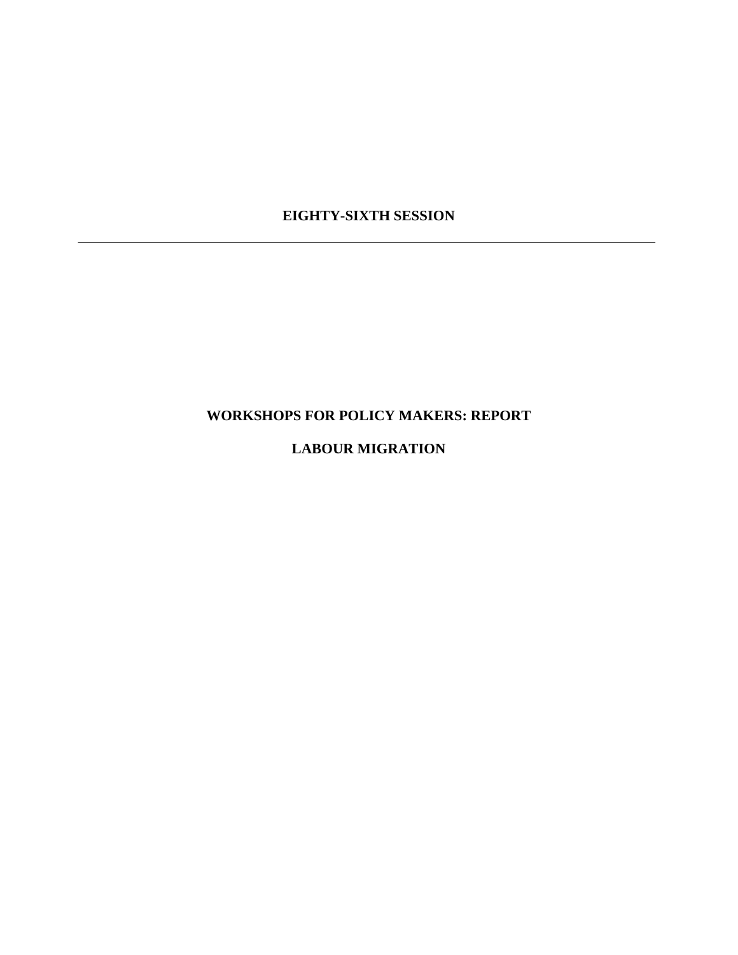## **EIGHTY-SIXTH SESSION**

# **WORKSHOPS FOR POLICY MAKERS: REPORT**

## **LABOUR MIGRATION**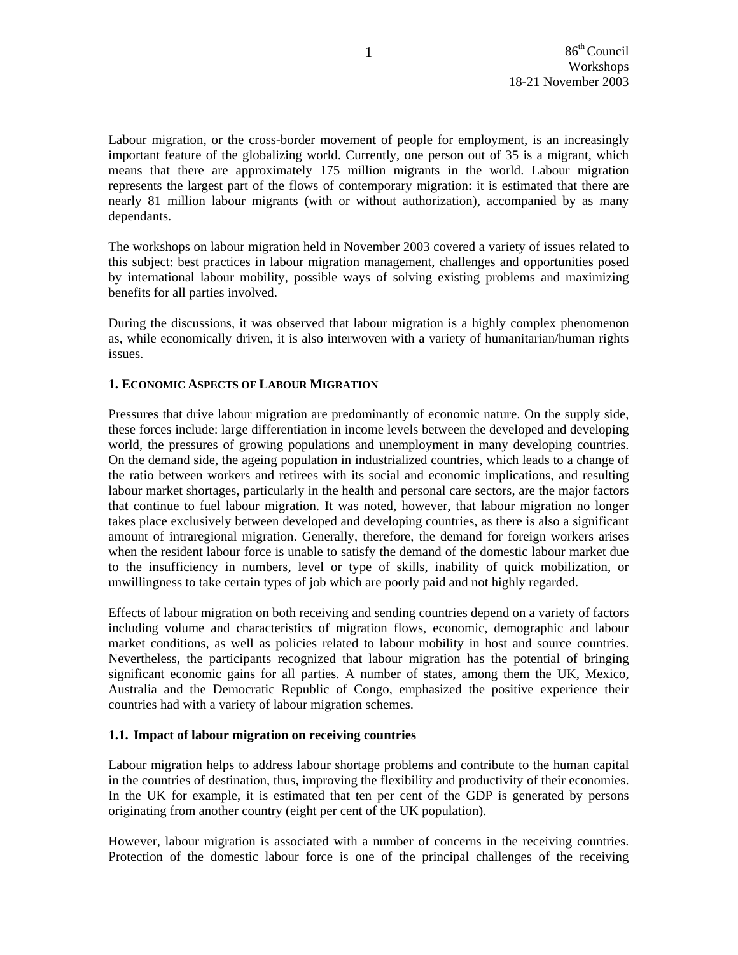Labour migration, or the cross-border movement of people for employment, is an increasingly important feature of the globalizing world. Currently, one person out of 35 is a migrant, which means that there are approximately 175 million migrants in the world. Labour migration represents the largest part of the flows of contemporary migration: it is estimated that there are nearly 81 million labour migrants (with or without authorization), accompanied by as many dependants.

The workshops on labour migration held in November 2003 covered a variety of issues related to this subject: best practices in labour migration management, challenges and opportunities posed by international labour mobility, possible ways of solving existing problems and maximizing benefits for all parties involved.

During the discussions, it was observed that labour migration is a highly complex phenomenon as, while economically driven, it is also interwoven with a variety of humanitarian/human rights issues.

## **1. ECONOMIC ASPECTS OF LABOUR MIGRATION**

Pressures that drive labour migration are predominantly of economic nature. On the supply side, these forces include: large differentiation in income levels between the developed and developing world, the pressures of growing populations and unemployment in many developing countries. On the demand side, the ageing population in industrialized countries, which leads to a change of the ratio between workers and retirees with its social and economic implications, and resulting labour market shortages, particularly in the health and personal care sectors, are the major factors that continue to fuel labour migration. It was noted, however, that labour migration no longer takes place exclusively between developed and developing countries, as there is also a significant amount of intraregional migration. Generally, therefore, the demand for foreign workers arises when the resident labour force is unable to satisfy the demand of the domestic labour market due to the insufficiency in numbers, level or type of skills, inability of quick mobilization, or unwillingness to take certain types of job which are poorly paid and not highly regarded.

Effects of labour migration on both receiving and sending countries depend on a variety of factors including volume and characteristics of migration flows, economic, demographic and labour market conditions, as well as policies related to labour mobility in host and source countries. Nevertheless, the participants recognized that labour migration has the potential of bringing significant economic gains for all parties. A number of states, among them the UK, Mexico, Australia and the Democratic Republic of Congo, emphasized the positive experience their countries had with a variety of labour migration schemes.

#### **1.1. Impact of labour migration on receiving countries**

Labour migration helps to address labour shortage problems and contribute to the human capital in the countries of destination, thus, improving the flexibility and productivity of their economies. In the UK for example, it is estimated that ten per cent of the GDP is generated by persons originating from another country (eight per cent of the UK population).

However, labour migration is associated with a number of concerns in the receiving countries. Protection of the domestic labour force is one of the principal challenges of the receiving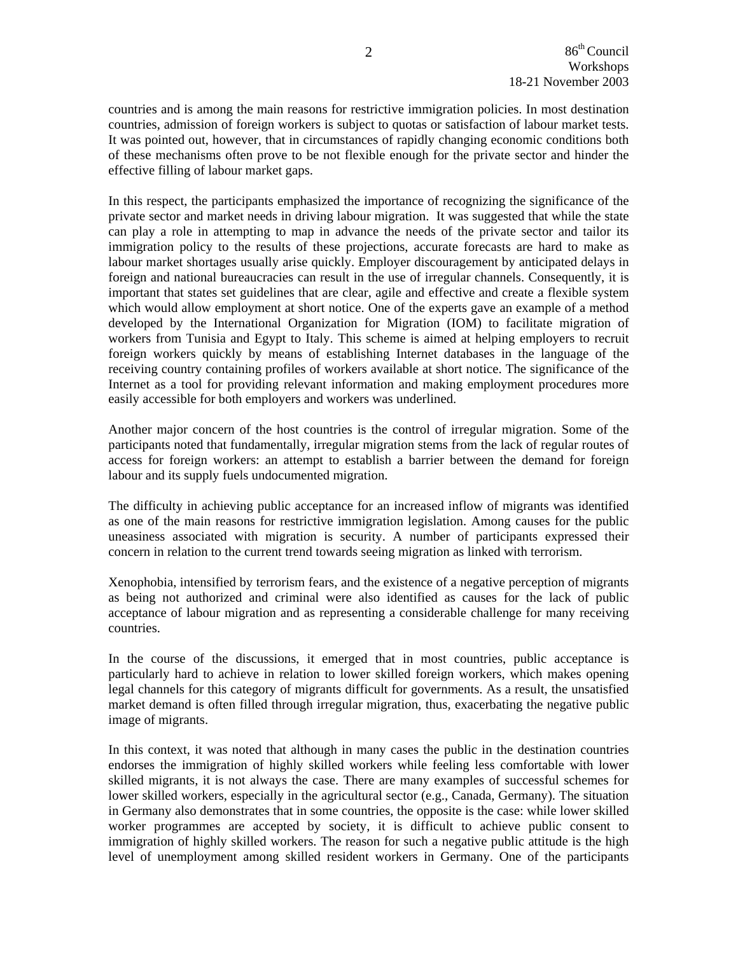countries and is among the main reasons for restrictive immigration policies. In most destination countries, admission of foreign workers is subject to quotas or satisfaction of labour market tests. It was pointed out, however, that in circumstances of rapidly changing economic conditions both of these mechanisms often prove to be not flexible enough for the private sector and hinder the effective filling of labour market gaps.

In this respect, the participants emphasized the importance of recognizing the significance of the private sector and market needs in driving labour migration. It was suggested that while the state can play a role in attempting to map in advance the needs of the private sector and tailor its immigration policy to the results of these projections, accurate forecasts are hard to make as labour market shortages usually arise quickly. Employer discouragement by anticipated delays in foreign and national bureaucracies can result in the use of irregular channels. Consequently, it is important that states set guidelines that are clear, agile and effective and create a flexible system which would allow employment at short notice. One of the experts gave an example of a method developed by the International Organization for Migration (IOM) to facilitate migration of workers from Tunisia and Egypt to Italy. This scheme is aimed at helping employers to recruit foreign workers quickly by means of establishing Internet databases in the language of the receiving country containing profiles of workers available at short notice. The significance of the Internet as a tool for providing relevant information and making employment procedures more easily accessible for both employers and workers was underlined.

Another major concern of the host countries is the control of irregular migration. Some of the participants noted that fundamentally, irregular migration stems from the lack of regular routes of access for foreign workers: an attempt to establish a barrier between the demand for foreign labour and its supply fuels undocumented migration.

The difficulty in achieving public acceptance for an increased inflow of migrants was identified as one of the main reasons for restrictive immigration legislation. Among causes for the public uneasiness associated with migration is security. A number of participants expressed their concern in relation to the current trend towards seeing migration as linked with terrorism.

Xenophobia, intensified by terrorism fears, and the existence of a negative perception of migrants as being not authorized and criminal were also identified as causes for the lack of public acceptance of labour migration and as representing a considerable challenge for many receiving countries.

In the course of the discussions, it emerged that in most countries, public acceptance is particularly hard to achieve in relation to lower skilled foreign workers, which makes opening legal channels for this category of migrants difficult for governments. As a result, the unsatisfied market demand is often filled through irregular migration, thus, exacerbating the negative public image of migrants.

In this context, it was noted that although in many cases the public in the destination countries endorses the immigration of highly skilled workers while feeling less comfortable with lower skilled migrants, it is not always the case. There are many examples of successful schemes for lower skilled workers, especially in the agricultural sector (e.g., Canada, Germany). The situation in Germany also demonstrates that in some countries, the opposite is the case: while lower skilled worker programmes are accepted by society, it is difficult to achieve public consent to immigration of highly skilled workers. The reason for such a negative public attitude is the high level of unemployment among skilled resident workers in Germany. One of the participants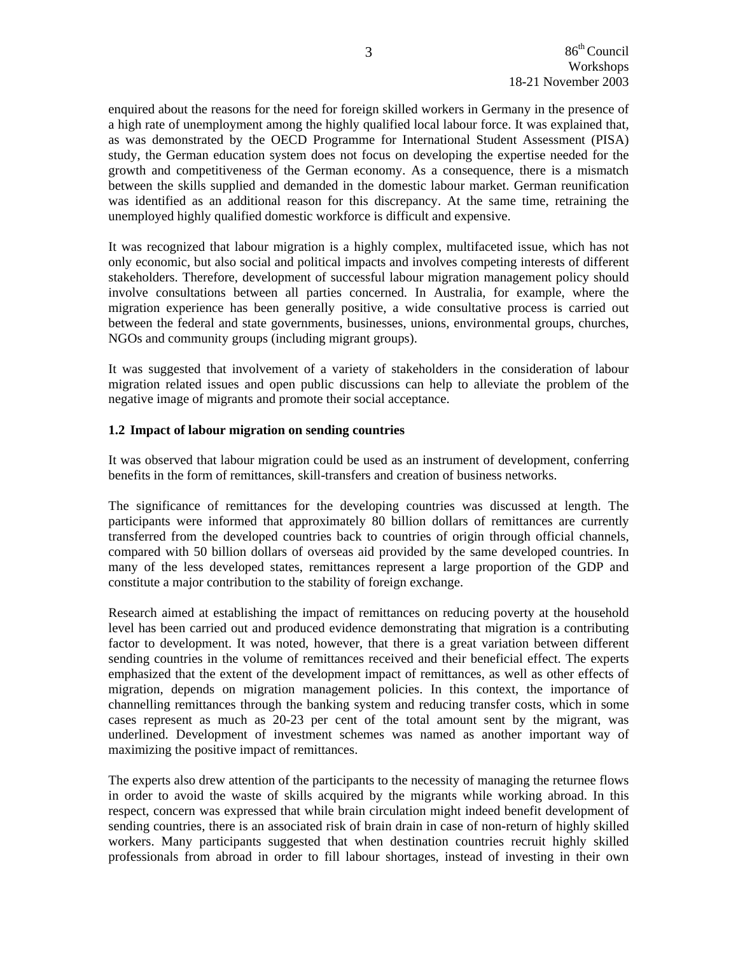enquired about the reasons for the need for foreign skilled workers in Germany in the presence of a high rate of unemployment among the highly qualified local labour force. It was explained that, as was demonstrated by the OECD Programme for International Student Assessment (PISA) study, the German education system does not focus on developing the expertise needed for the growth and competitiveness of the German economy. As a consequence, there is a mismatch between the skills supplied and demanded in the domestic labour market. German reunification was identified as an additional reason for this discrepancy. At the same time, retraining the unemployed highly qualified domestic workforce is difficult and expensive.

It was recognized that labour migration is a highly complex, multifaceted issue, which has not only economic, but also social and political impacts and involves competing interests of different stakeholders. Therefore, development of successful labour migration management policy should involve consultations between all parties concerned. In Australia, for example, where the migration experience has been generally positive, a wide consultative process is carried out between the federal and state governments, businesses, unions, environmental groups, churches, NGOs and community groups (including migrant groups).

It was suggested that involvement of a variety of stakeholders in the consideration of labour migration related issues and open public discussions can help to alleviate the problem of the negative image of migrants and promote their social acceptance.

### **1.2 Impact of labour migration on sending countries**

It was observed that labour migration could be used as an instrument of development, conferring benefits in the form of remittances, skill-transfers and creation of business networks.

The significance of remittances for the developing countries was discussed at length. The participants were informed that approximately 80 billion dollars of remittances are currently transferred from the developed countries back to countries of origin through official channels, compared with 50 billion dollars of overseas aid provided by the same developed countries. In many of the less developed states, remittances represent a large proportion of the GDP and constitute a major contribution to the stability of foreign exchange.

Research aimed at establishing the impact of remittances on reducing poverty at the household level has been carried out and produced evidence demonstrating that migration is a contributing factor to development. It was noted, however, that there is a great variation between different sending countries in the volume of remittances received and their beneficial effect. The experts emphasized that the extent of the development impact of remittances, as well as other effects of migration, depends on migration management policies. In this context, the importance of channelling remittances through the banking system and reducing transfer costs, which in some cases represent as much as 20-23 per cent of the total amount sent by the migrant, was underlined. Development of investment schemes was named as another important way of maximizing the positive impact of remittances.

The experts also drew attention of the participants to the necessity of managing the returnee flows in order to avoid the waste of skills acquired by the migrants while working abroad. In this respect, concern was expressed that while brain circulation might indeed benefit development of sending countries, there is an associated risk of brain drain in case of non-return of highly skilled workers. Many participants suggested that when destination countries recruit highly skilled professionals from abroad in order to fill labour shortages, instead of investing in their own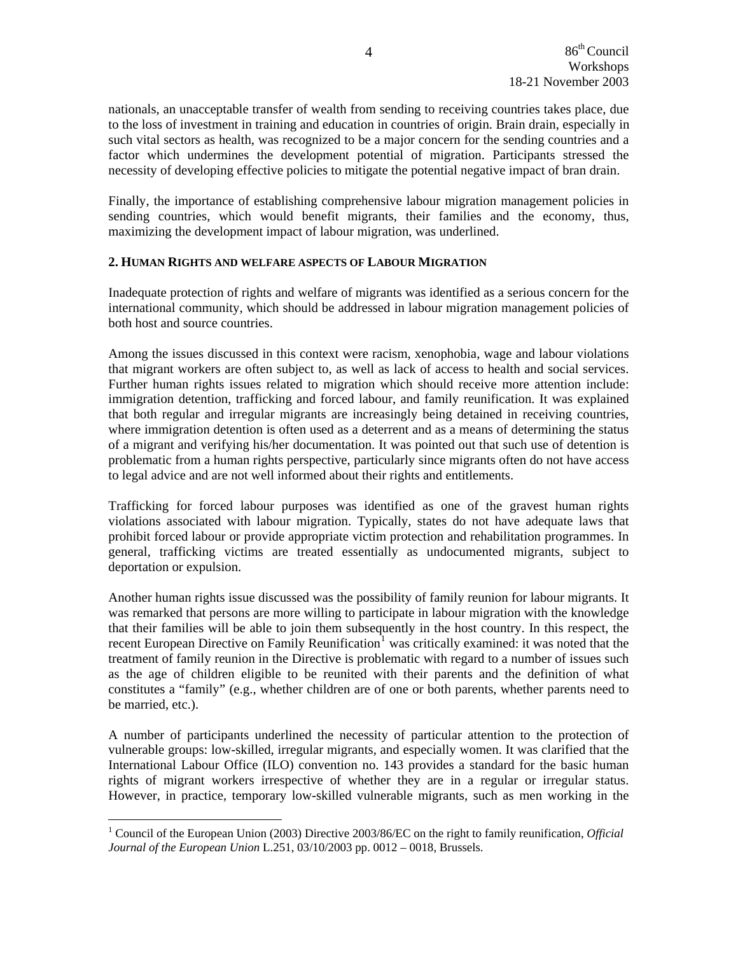nationals, an unacceptable transfer of wealth from sending to receiving countries takes place, due to the loss of investment in training and education in countries of origin. Brain drain, especially in such vital sectors as health, was recognized to be a major concern for the sending countries and a factor which undermines the development potential of migration. Participants stressed the necessity of developing effective policies to mitigate the potential negative impact of bran drain.

Finally, the importance of establishing comprehensive labour migration management policies in sending countries, which would benefit migrants, their families and the economy, thus, maximizing the development impact of labour migration, was underlined.

## **2. HUMAN RIGHTS AND WELFARE ASPECTS OF LABOUR MIGRATION**

Inadequate protection of rights and welfare of migrants was identified as a serious concern for the international community, which should be addressed in labour migration management policies of both host and source countries.

Among the issues discussed in this context were racism, xenophobia, wage and labour violations that migrant workers are often subject to, as well as lack of access to health and social services. Further human rights issues related to migration which should receive more attention include: immigration detention, trafficking and forced labour, and family reunification. It was explained that both regular and irregular migrants are increasingly being detained in receiving countries, where immigration detention is often used as a deterrent and as a means of determining the status of a migrant and verifying his/her documentation. It was pointed out that such use of detention is problematic from a human rights perspective, particularly since migrants often do not have access to legal advice and are not well informed about their rights and entitlements.

Trafficking for forced labour purposes was identified as one of the gravest human rights violations associated with labour migration. Typically, states do not have adequate laws that prohibit forced labour or provide appropriate victim protection and rehabilitation programmes. In general, trafficking victims are treated essentially as undocumented migrants, subject to deportation or expulsion.

Another human rights issue discussed was the possibility of family reunion for labour migrants. It was remarked that persons are more willing to participate in labour migration with the knowledge that their families will be able to join them subsequently in the host country. In this respect, the recent European Directive on Family Reunification<sup>[1](#page-4-0)</sup> was critically examined: it was noted that the treatment of family reunion in the Directive is problematic with regard to a number of issues such as the age of children eligible to be reunited with their parents and the definition of what constitutes a "family" (e.g., whether children are of one or both parents, whether parents need to be married, etc.).

A number of participants underlined the necessity of particular attention to the protection of vulnerable groups: low-skilled, irregular migrants, and especially women. It was clarified that the International Labour Office (ILO) convention no. 143 provides a standard for the basic human rights of migrant workers irrespective of whether they are in a regular or irregular status. However, in practice, temporary low-skilled vulnerable migrants, such as men working in the

 $\overline{a}$ 

<span id="page-4-0"></span><sup>&</sup>lt;sup>1</sup> Council of the European Union (2003) Directive 2003/86/EC on the right to family reunification, *Official Journal of the European Union* L.251, 03/10/2003 pp. 0012 – 0018, Brussels.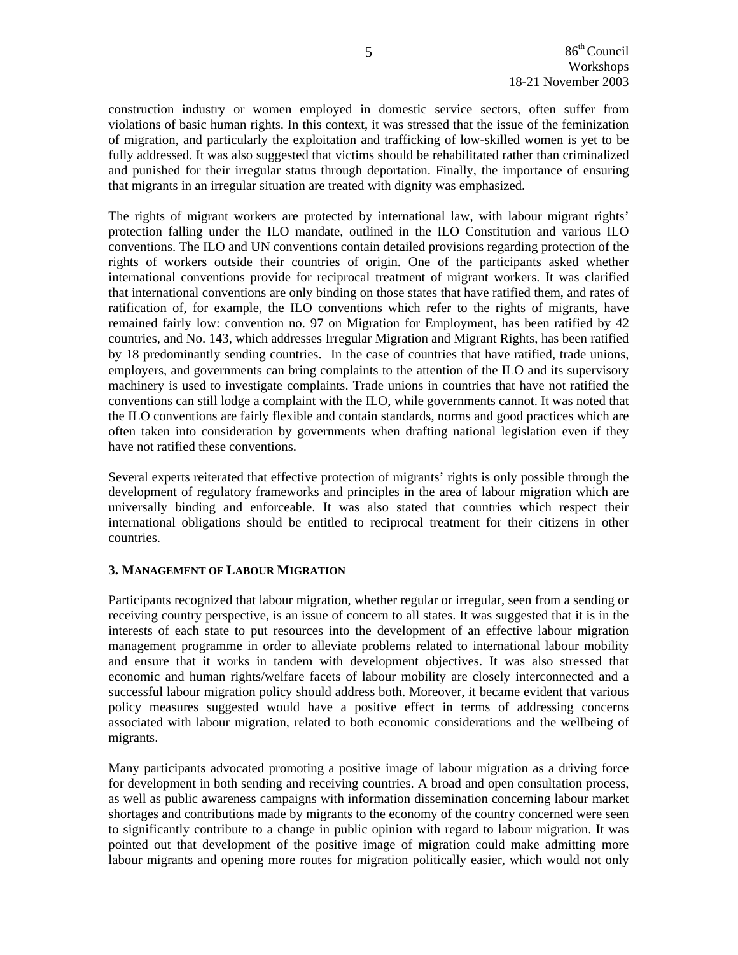construction industry or women employed in domestic service sectors, often suffer from violations of basic human rights. In this context, it was stressed that the issue of the feminization of migration, and particularly the exploitation and trafficking of low-skilled women is yet to be fully addressed. It was also suggested that victims should be rehabilitated rather than criminalized and punished for their irregular status through deportation. Finally, the importance of ensuring that migrants in an irregular situation are treated with dignity was emphasized.

The rights of migrant workers are protected by international law, with labour migrant rights' protection falling under the ILO mandate, outlined in the ILO Constitution and various ILO conventions. The ILO and UN conventions contain detailed provisions regarding protection of the rights of workers outside their countries of origin. One of the participants asked whether international conventions provide for reciprocal treatment of migrant workers. It was clarified that international conventions are only binding on those states that have ratified them, and rates of ratification of, for example, the ILO conventions which refer to the rights of migrants, have remained fairly low: convention no. 97 on Migration for Employment, has been ratified by 42 countries, and No. 143, which addresses Irregular Migration and Migrant Rights, has been ratified by 18 predominantly sending countries. In the case of countries that have ratified, trade unions, employers, and governments can bring complaints to the attention of the ILO and its supervisory machinery is used to investigate complaints. Trade unions in countries that have not ratified the conventions can still lodge a complaint with the ILO, while governments cannot. It was noted that the ILO conventions are fairly flexible and contain standards, norms and good practices which are often taken into consideration by governments when drafting national legislation even if they have not ratified these conventions.

Several experts reiterated that effective protection of migrants' rights is only possible through the development of regulatory frameworks and principles in the area of labour migration which are universally binding and enforceable. It was also stated that countries which respect their international obligations should be entitled to reciprocal treatment for their citizens in other countries.

## **3. MANAGEMENT OF LABOUR MIGRATION**

Participants recognized that labour migration, whether regular or irregular, seen from a sending or receiving country perspective, is an issue of concern to all states. It was suggested that it is in the interests of each state to put resources into the development of an effective labour migration management programme in order to alleviate problems related to international labour mobility and ensure that it works in tandem with development objectives. It was also stressed that economic and human rights/welfare facets of labour mobility are closely interconnected and a successful labour migration policy should address both. Moreover, it became evident that various policy measures suggested would have a positive effect in terms of addressing concerns associated with labour migration, related to both economic considerations and the wellbeing of migrants.

Many participants advocated promoting a positive image of labour migration as a driving force for development in both sending and receiving countries. A broad and open consultation process, as well as public awareness campaigns with information dissemination concerning labour market shortages and contributions made by migrants to the economy of the country concerned were seen to significantly contribute to a change in public opinion with regard to labour migration. It was pointed out that development of the positive image of migration could make admitting more labour migrants and opening more routes for migration politically easier, which would not only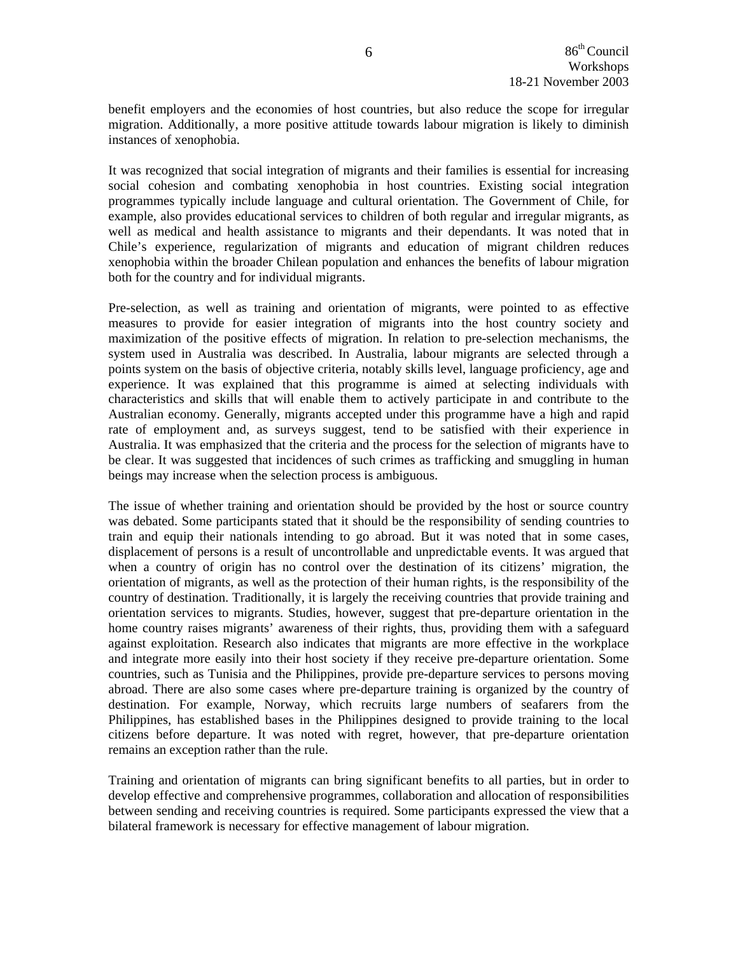benefit employers and the economies of host countries, but also reduce the scope for irregular migration. Additionally, a more positive attitude towards labour migration is likely to diminish instances of xenophobia.

It was recognized that social integration of migrants and their families is essential for increasing social cohesion and combating xenophobia in host countries. Existing social integration programmes typically include language and cultural orientation. The Government of Chile, for example, also provides educational services to children of both regular and irregular migrants, as well as medical and health assistance to migrants and their dependants. It was noted that in Chile's experience, regularization of migrants and education of migrant children reduces xenophobia within the broader Chilean population and enhances the benefits of labour migration both for the country and for individual migrants.

Pre-selection, as well as training and orientation of migrants, were pointed to as effective measures to provide for easier integration of migrants into the host country society and maximization of the positive effects of migration. In relation to pre-selection mechanisms, the system used in Australia was described. In Australia, labour migrants are selected through a points system on the basis of objective criteria, notably skills level, language proficiency, age and experience. It was explained that this programme is aimed at selecting individuals with characteristics and skills that will enable them to actively participate in and contribute to the Australian economy. Generally, migrants accepted under this programme have a high and rapid rate of employment and, as surveys suggest, tend to be satisfied with their experience in Australia. It was emphasized that the criteria and the process for the selection of migrants have to be clear. It was suggested that incidences of such crimes as trafficking and smuggling in human beings may increase when the selection process is ambiguous.

The issue of whether training and orientation should be provided by the host or source country was debated. Some participants stated that it should be the responsibility of sending countries to train and equip their nationals intending to go abroad. But it was noted that in some cases, displacement of persons is a result of uncontrollable and unpredictable events. It was argued that when a country of origin has no control over the destination of its citizens' migration, the orientation of migrants, as well as the protection of their human rights, is the responsibility of the country of destination. Traditionally, it is largely the receiving countries that provide training and orientation services to migrants. Studies, however, suggest that pre-departure orientation in the home country raises migrants' awareness of their rights, thus, providing them with a safeguard against exploitation. Research also indicates that migrants are more effective in the workplace and integrate more easily into their host society if they receive pre-departure orientation. Some countries, such as Tunisia and the Philippines, provide pre-departure services to persons moving abroad. There are also some cases where pre-departure training is organized by the country of destination. For example, Norway, which recruits large numbers of seafarers from the Philippines, has established bases in the Philippines designed to provide training to the local citizens before departure. It was noted with regret, however, that pre-departure orientation remains an exception rather than the rule.

Training and orientation of migrants can bring significant benefits to all parties, but in order to develop effective and comprehensive programmes, collaboration and allocation of responsibilities between sending and receiving countries is required. Some participants expressed the view that a bilateral framework is necessary for effective management of labour migration.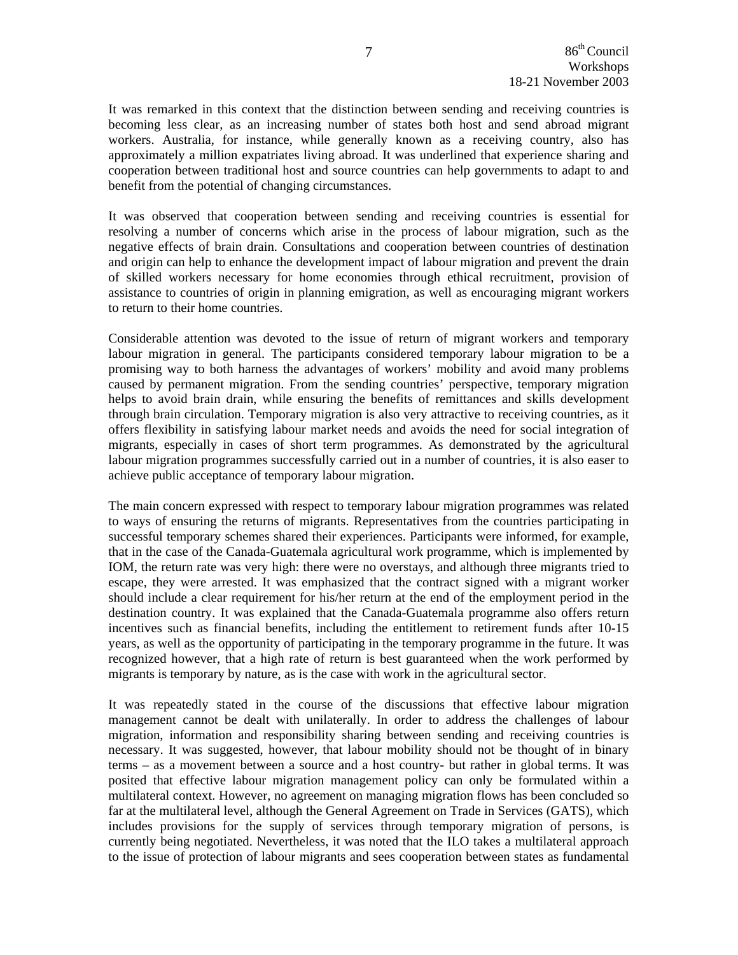It was remarked in this context that the distinction between sending and receiving countries is becoming less clear, as an increasing number of states both host and send abroad migrant workers. Australia, for instance, while generally known as a receiving country, also has approximately a million expatriates living abroad. It was underlined that experience sharing and cooperation between traditional host and source countries can help governments to adapt to and benefit from the potential of changing circumstances.

It was observed that cooperation between sending and receiving countries is essential for resolving a number of concerns which arise in the process of labour migration, such as the negative effects of brain drain. Consultations and cooperation between countries of destination and origin can help to enhance the development impact of labour migration and prevent the drain of skilled workers necessary for home economies through ethical recruitment, provision of assistance to countries of origin in planning emigration, as well as encouraging migrant workers to return to their home countries.

Considerable attention was devoted to the issue of return of migrant workers and temporary labour migration in general. The participants considered temporary labour migration to be a promising way to both harness the advantages of workers' mobility and avoid many problems caused by permanent migration. From the sending countries' perspective, temporary migration helps to avoid brain drain, while ensuring the benefits of remittances and skills development through brain circulation. Temporary migration is also very attractive to receiving countries, as it offers flexibility in satisfying labour market needs and avoids the need for social integration of migrants, especially in cases of short term programmes. As demonstrated by the agricultural labour migration programmes successfully carried out in a number of countries, it is also easer to achieve public acceptance of temporary labour migration.

The main concern expressed with respect to temporary labour migration programmes was related to ways of ensuring the returns of migrants. Representatives from the countries participating in successful temporary schemes shared their experiences. Participants were informed, for example, that in the case of the Canada-Guatemala agricultural work programme, which is implemented by IOM, the return rate was very high: there were no overstays, and although three migrants tried to escape, they were arrested. It was emphasized that the contract signed with a migrant worker should include a clear requirement for his/her return at the end of the employment period in the destination country. It was explained that the Canada-Guatemala programme also offers return incentives such as financial benefits, including the entitlement to retirement funds after 10-15 years, as well as the opportunity of participating in the temporary programme in the future. It was recognized however, that a high rate of return is best guaranteed when the work performed by migrants is temporary by nature, as is the case with work in the agricultural sector.

It was repeatedly stated in the course of the discussions that effective labour migration management cannot be dealt with unilaterally. In order to address the challenges of labour migration, information and responsibility sharing between sending and receiving countries is necessary. It was suggested, however, that labour mobility should not be thought of in binary terms – as a movement between a source and a host country- but rather in global terms. It was posited that effective labour migration management policy can only be formulated within a multilateral context. However, no agreement on managing migration flows has been concluded so far at the multilateral level, although the General Agreement on Trade in Services (GATS), which includes provisions for the supply of services through temporary migration of persons, is currently being negotiated. Nevertheless, it was noted that the ILO takes a multilateral approach to the issue of protection of labour migrants and sees cooperation between states as fundamental